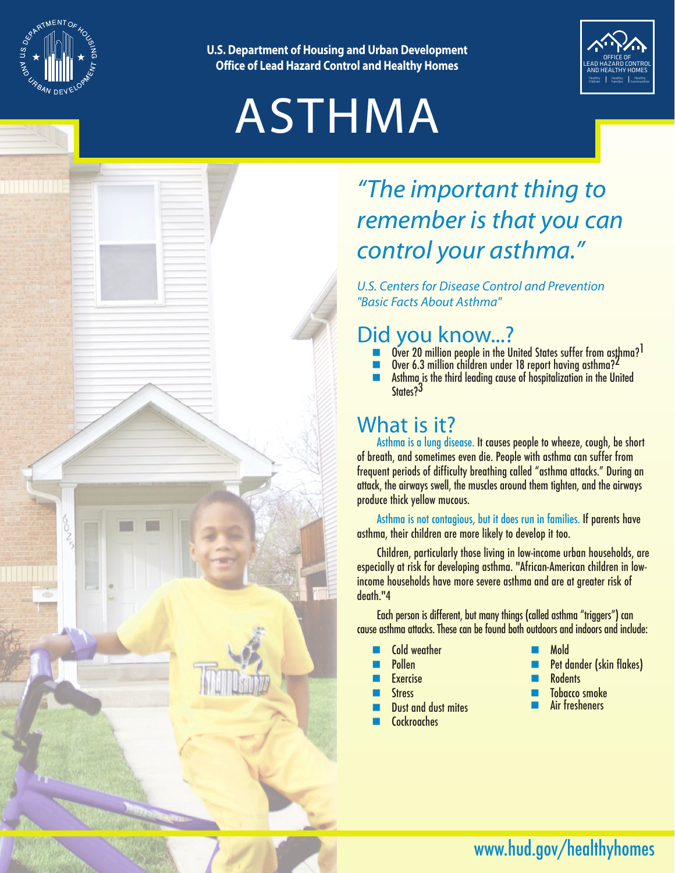

**U.S. Department of Housing and Urban Development Office of Lead Hazard Control and Healthy Homes**

# ASTHMA



# *"The important thing to remember is that you can control your asthma."*

*U.S. Centers for Disease Control and Prevention "Basic Facts About Asthma"*

### Did you know...?

- Over 20 million people in the United States suffer from asthma?<sup>1</sup>
- $\blacksquare$  Over 6.3 million children under 18 report having asthma?<sup>2</sup><br>Asthma is the third leading cause of hospitalization in the Un
- $\blacksquare$  Asthma is the third leading cause of hospitalization in the United States?<sup>3</sup>

## What is it?

Asthma is a lung disease. It causes people to wheeze, cough, be short of breath, and sometimes even die. People with asthma can suffer from frequent periods of difficulty breathing called "asthma attacks." During an attack, the airways swell, the muscles around them tighten, and the airways produce thick yellow mucous.

Asthma is not contagious, but it does run in families. If parents have asthma, their children are more likely to develop it too.

Children, particularly those living in low-income urban households, are especially at risk for developing asthma. "African-American children in lowincome households have more severe asthma and are at greater risk of death."4

Each person is different, but many things (called asthma "triggers") can cause asthma attacks. These can be found both outdoors and indoors and include:

- Cold weather
- **Pollen**
- **Fxercise**
- **Stress**
- Dust and dust mites
- Cockroaches
- n Mold
- Pet dander (skin flakes)
- **Rodents**
- Tobacco smoke
- Air fresheners

www.hud.gov/healthyhomes